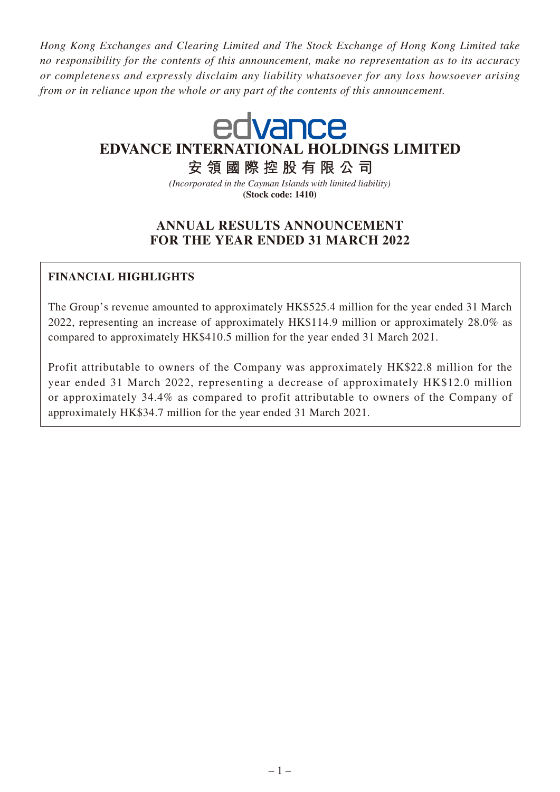*Hong Kong Exchanges and Clearing Limited and The Stock Exchange of Hong Kong Limited take no responsibility for the contents of this announcement, make no representation as to its accuracy or completeness and expressly disclaim any liability whatsoever for any loss howsoever arising from or in reliance upon the whole or any part of the contents of this announcement.*

# **Tvance EDVANCE INTERNATIONAL HOLDINGS LIMITED** 安領國際控股有限公司

*(Incorporated in the Cayman Islands with limited liability)* **(Stock code: 1410)**

## **ANNUAL RESULTS ANNOUNCEMENT FOR THE YEAR ENDED 31 MARCH 2022**

## **FINANCIAL HIGHLIGHTS**

The Group's revenue amounted to approximately HK\$525.4 million for the year ended 31 March 2022, representing an increase of approximately HK\$114.9 million or approximately 28.0% as compared to approximately HK\$410.5 million for the year ended 31 March 2021.

Profit attributable to owners of the Company was approximately HK\$22.8 million for the year ended 31 March 2022, representing a decrease of approximately HK\$12.0 million or approximately 34.4% as compared to profit attributable to owners of the Company of approximately HK\$34.7 million for the year ended 31 March 2021.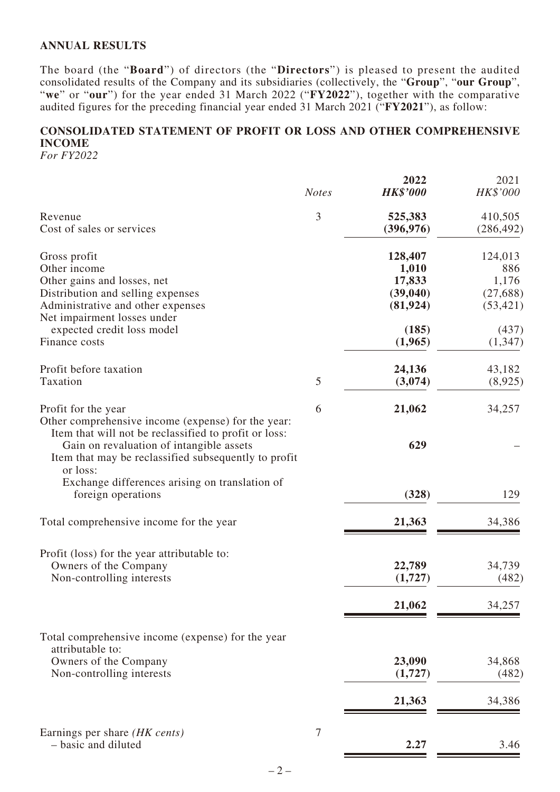#### **ANNUAL RESULTS**

The board (the "**Board**") of directors (the "**Directors**") is pleased to present the audited consolidated results of the Company and its subsidiaries (collectively, the "**Group**", "**our Group**", "we" or "our") for the year ended 31 March 2022 ("FY2022"), together with the comparative audited figures for the preceding financial year ended 31 March 2021 ("**FY2021**"), as follow:

## **CONSOLIDATED STATEMENT OF PROFIT OR LOSS AND OTHER COMPREHENSIVE INCOME**

*For FY2022*

|                                                                                                                                                                                                                                                    | <b>Notes</b> | 2022<br><b>HK\$'000</b>                              | 2021<br>HK\$'000                                  |
|----------------------------------------------------------------------------------------------------------------------------------------------------------------------------------------------------------------------------------------------------|--------------|------------------------------------------------------|---------------------------------------------------|
| Revenue<br>Cost of sales or services                                                                                                                                                                                                               | 3            | 525,383<br>(396, 976)                                | 410,505<br>(286, 492)                             |
| Gross profit<br>Other income<br>Other gains and losses, net<br>Distribution and selling expenses<br>Administrative and other expenses<br>Net impairment losses under                                                                               |              | 128,407<br>1,010<br>17,833<br>(39, 040)<br>(81, 924) | 124,013<br>886<br>1,176<br>(27, 688)<br>(53, 421) |
| expected credit loss model<br>Finance costs                                                                                                                                                                                                        |              | (185)<br>(1,965)                                     | (437)<br>(1, 347)                                 |
| Profit before taxation<br>Taxation                                                                                                                                                                                                                 | 5            | 24,136<br>(3,074)                                    | 43,182<br>(8,925)                                 |
| Profit for the year<br>Other comprehensive income (expense) for the year:<br>Item that will not be reclassified to profit or loss:<br>Gain on revaluation of intangible assets<br>Item that may be reclassified subsequently to profit<br>or loss: | 6            | 21,062<br>629                                        | 34,257                                            |
| Exchange differences arising on translation of<br>foreign operations                                                                                                                                                                               |              | (328)                                                | 129                                               |
| Total comprehensive income for the year                                                                                                                                                                                                            |              | 21,363                                               | 34,386                                            |
| Profit (loss) for the year attributable to:<br>Owners of the Company<br>Non-controlling interests                                                                                                                                                  |              | 22,789<br>(1,727)                                    | 34,739<br>(482)                                   |
|                                                                                                                                                                                                                                                    |              | 21,062                                               | 34,257                                            |
| Total comprehensive income (expense) for the year<br>attributable to:<br>Owners of the Company<br>Non-controlling interests                                                                                                                        |              | 23,090<br>(1, 727)                                   | 34,868<br>(482)                                   |
|                                                                                                                                                                                                                                                    |              | 21,363                                               | 34,386                                            |
| Earnings per share (HK cents)<br>- basic and diluted                                                                                                                                                                                               | $\tau$       | 2.27                                                 | 3.46                                              |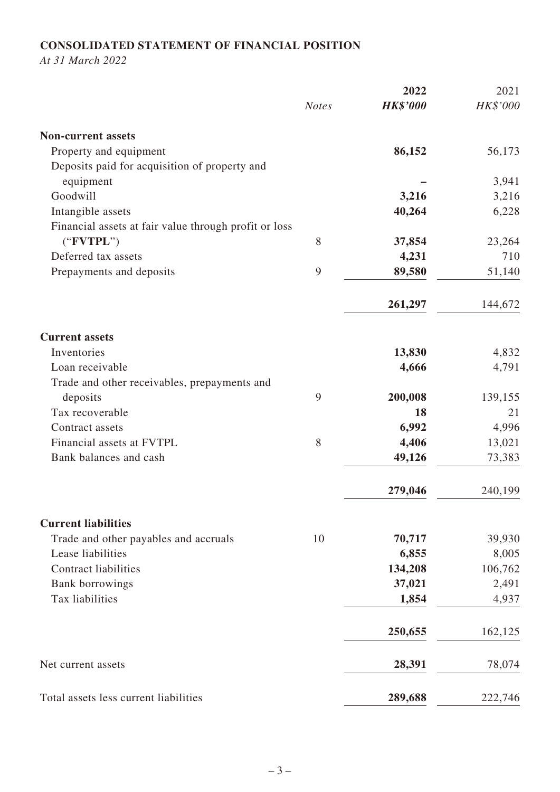## **CONSOLIDATED STATEMENT OF FINANCIAL POSITION**

*At 31 March 2022*

|                                                       |              | 2022            | 2021     |
|-------------------------------------------------------|--------------|-----------------|----------|
|                                                       | <b>Notes</b> | <b>HK\$'000</b> | HK\$'000 |
| <b>Non-current assets</b>                             |              |                 |          |
| Property and equipment                                |              | 86,152          | 56,173   |
| Deposits paid for acquisition of property and         |              |                 |          |
| equipment                                             |              |                 | 3,941    |
| Goodwill                                              |              | 3,216           | 3,216    |
| Intangible assets                                     |              | 40,264          | 6,228    |
| Financial assets at fair value through profit or loss |              |                 |          |
| ("FVTPL")                                             | 8            | 37,854          | 23,264   |
| Deferred tax assets                                   |              | 4,231           | 710      |
| Prepayments and deposits                              | 9            | 89,580          | 51,140   |
|                                                       |              | 261,297         | 144,672  |
| <b>Current assets</b>                                 |              |                 |          |
| Inventories                                           |              | 13,830          | 4,832    |
| Loan receivable                                       |              | 4,666           | 4,791    |
| Trade and other receivables, prepayments and          |              |                 |          |
| deposits                                              | 9            | 200,008         | 139,155  |
| Tax recoverable                                       |              | 18              | 21       |
| Contract assets                                       |              | 6,992           | 4,996    |
| Financial assets at FVTPL                             | 8            | 4,406           | 13,021   |
| Bank balances and cash                                |              | 49,126          | 73,383   |
|                                                       |              | 279,046         | 240,199  |
| <b>Current liabilities</b>                            |              |                 |          |
| Trade and other payables and accruals                 | 10           | 70,717          | 39,930   |
| Lease liabilities                                     |              | 6,855           | 8,005    |
| <b>Contract liabilities</b>                           |              | 134,208         | 106,762  |
| <b>Bank borrowings</b>                                |              | 37,021          | 2,491    |
| Tax liabilities                                       |              | 1,854           | 4,937    |
|                                                       |              | 250,655         | 162,125  |
| Net current assets                                    |              | 28,391          | 78,074   |
| Total assets less current liabilities                 |              | 289,688         | 222,746  |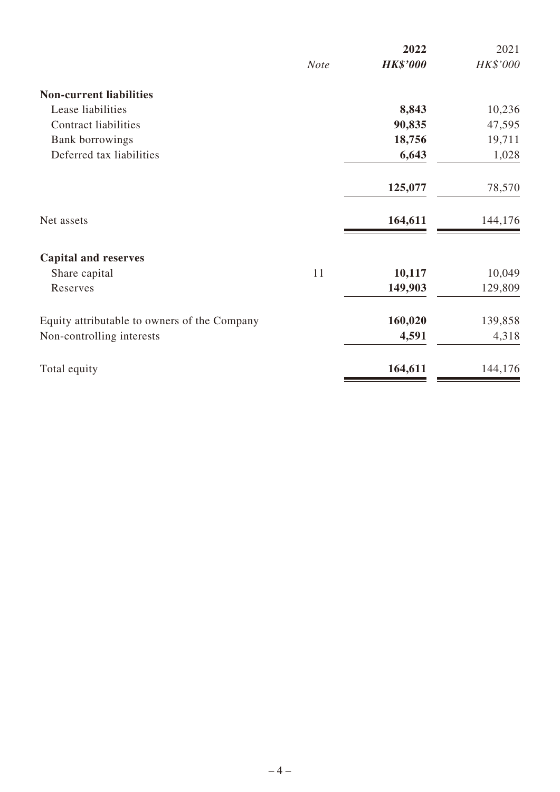|                                              |             | 2022            | 2021     |
|----------------------------------------------|-------------|-----------------|----------|
|                                              | <b>Note</b> | <b>HK\$'000</b> | HK\$'000 |
| <b>Non-current liabilities</b>               |             |                 |          |
| Lease liabilities                            |             | 8,843           | 10,236   |
| <b>Contract liabilities</b>                  |             | 90,835          | 47,595   |
| <b>Bank borrowings</b>                       |             | 18,756          | 19,711   |
| Deferred tax liabilities                     |             | 6,643           | 1,028    |
|                                              |             | 125,077         | 78,570   |
| Net assets                                   |             | 164,611         | 144,176  |
| <b>Capital and reserves</b>                  |             |                 |          |
| Share capital                                | 11          | 10,117          | 10,049   |
| Reserves                                     |             | 149,903         | 129,809  |
| Equity attributable to owners of the Company |             | 160,020         | 139,858  |
| Non-controlling interests                    |             | 4,591           | 4,318    |
| Total equity                                 |             | 164,611         | 144,176  |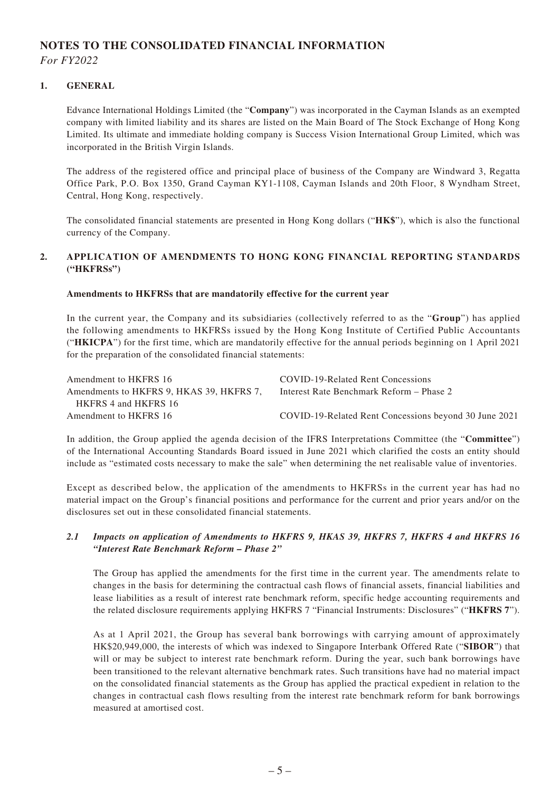## **NOTES TO THE CONSOLIDATED FINANCIAL INFORMATION**

*For FY2022*

#### **1. GENERAL**

Edvance International Holdings Limited (the "**Company**") was incorporated in the Cayman Islands as an exempted company with limited liability and its shares are listed on the Main Board of The Stock Exchange of Hong Kong Limited. Its ultimate and immediate holding company is Success Vision International Group Limited, which was incorporated in the British Virgin Islands.

The address of the registered office and principal place of business of the Company are Windward 3, Regatta Office Park, P.O. Box 1350, Grand Cayman KY1-1108, Cayman Islands and 20th Floor, 8 Wyndham Street, Central, Hong Kong, respectively.

The consolidated financial statements are presented in Hong Kong dollars ("**HK\$**"), which is also the functional currency of the Company.

#### **2. APPLICATION OF AMENDMENTS TO HONG KONG FINANCIAL REPORTING STANDARDS ("HKFRSs")**

#### **Amendments to HKFRSs that are mandatorily effective for the current year**

In the current year, the Company and its subsidiaries (collectively referred to as the "**Group**") has applied the following amendments to HKFRSs issued by the Hong Kong Institute of Certified Public Accountants ("**HKICPA**") for the first time, which are mandatorily effective for the annual periods beginning on 1 April 2021 for the preparation of the consolidated financial statements:

| Amendment to HKFRS 16                    | COVID-19-Related Rent Concessions                     |
|------------------------------------------|-------------------------------------------------------|
| Amendments to HKFRS 9, HKAS 39, HKFRS 7, | Interest Rate Benchmark Reform – Phase 2              |
| HKFRS 4 and HKFRS 16                     |                                                       |
| Amendment to HKFRS 16                    | COVID-19-Related Rent Concessions beyond 30 June 2021 |

In addition, the Group applied the agenda decision of the IFRS Interpretations Committee (the "**Committee**") of the International Accounting Standards Board issued in June 2021 which clarified the costs an entity should include as "estimated costs necessary to make the sale" when determining the net realisable value of inventories.

Except as described below, the application of the amendments to HKFRSs in the current year has had no material impact on the Group's financial positions and performance for the current and prior years and/or on the disclosures set out in these consolidated financial statements.

#### *2.1 Impacts on application of Amendments to HKFRS 9, HKAS 39, HKFRS 7, HKFRS 4 and HKFRS 16 "Interest Rate Benchmark Reform – Phase 2"*

The Group has applied the amendments for the first time in the current year. The amendments relate to changes in the basis for determining the contractual cash flows of financial assets, financial liabilities and lease liabilities as a result of interest rate benchmark reform, specific hedge accounting requirements and the related disclosure requirements applying HKFRS 7 "Financial Instruments: Disclosures" ("**HKFRS 7**").

As at 1 April 2021, the Group has several bank borrowings with carrying amount of approximately HK\$20,949,000, the interests of which was indexed to Singapore Interbank Offered Rate ("**SIBOR**") that will or may be subject to interest rate benchmark reform. During the year, such bank borrowings have been transitioned to the relevant alternative benchmark rates. Such transitions have had no material impact on the consolidated financial statements as the Group has applied the practical expedient in relation to the changes in contractual cash flows resulting from the interest rate benchmark reform for bank borrowings measured at amortised cost.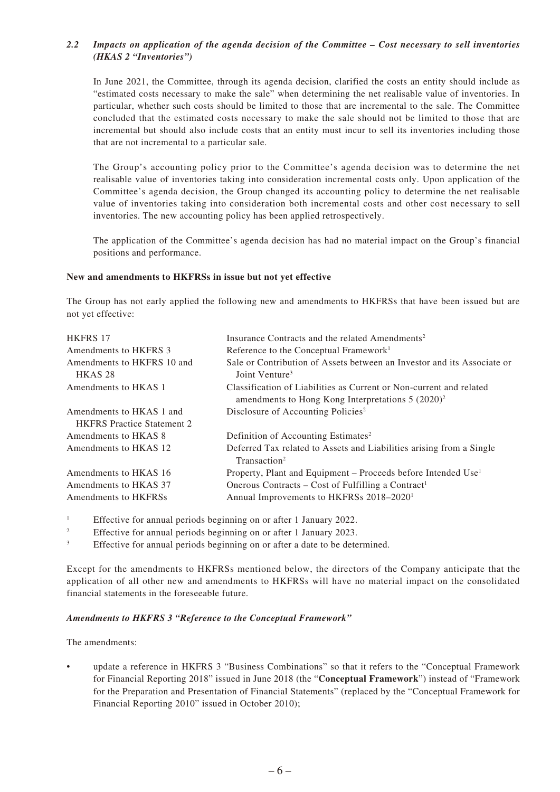#### *2.2 Impacts on application of the agenda decision of the Committee – Cost necessary to sell inventories (HKAS 2 "Inventories")*

In June 2021, the Committee, through its agenda decision, clarified the costs an entity should include as "estimated costs necessary to make the sale" when determining the net realisable value of inventories. In particular, whether such costs should be limited to those that are incremental to the sale. The Committee concluded that the estimated costs necessary to make the sale should not be limited to those that are incremental but should also include costs that an entity must incur to sell its inventories including those that are not incremental to a particular sale.

The Group's accounting policy prior to the Committee's agenda decision was to determine the net realisable value of inventories taking into consideration incremental costs only. Upon application of the Committee's agenda decision, the Group changed its accounting policy to determine the net realisable value of inventories taking into consideration both incremental costs and other cost necessary to sell inventories. The new accounting policy has been applied retrospectively.

The application of the Committee's agenda decision has had no material impact on the Group's financial positions and performance.

#### **New and amendments to HKFRSs in issue but not yet effective**

The Group has not early applied the following new and amendments to HKFRSs that have been issued but are not yet effective:

| <b>HKFRS 17</b>                                               | Insurance Contracts and the related Amendments <sup>2</sup>                                                                          |
|---------------------------------------------------------------|--------------------------------------------------------------------------------------------------------------------------------------|
|                                                               |                                                                                                                                      |
| Amendments to HKFRS 3                                         | Reference to the Conceptual Framework <sup>1</sup>                                                                                   |
| Amendments to HKFRS 10 and<br>HKAS <sub>28</sub>              | Sale or Contribution of Assets between an Investor and its Associate or<br>Joint Venture <sup>3</sup>                                |
| Amendments to HKAS 1                                          | Classification of Liabilities as Current or Non-current and related<br>amendments to Hong Kong Interpretations 5 (2020) <sup>2</sup> |
| Amendments to HKAS 1 and<br><b>HKFRS</b> Practice Statement 2 | Disclosure of Accounting Policies <sup>2</sup>                                                                                       |
| Amendments to HKAS 8                                          | Definition of Accounting Estimates <sup>2</sup>                                                                                      |
| Amendments to HKAS 12                                         | Deferred Tax related to Assets and Liabilities arising from a Single<br>Transaction <sup>2</sup>                                     |
| Amendments to HKAS 16                                         | Property, Plant and Equipment – Proceeds before Intended Use <sup>1</sup>                                                            |
| Amendments to HKAS 37                                         | Onerous Contracts – Cost of Fulfilling a Contract <sup>1</sup>                                                                       |
| <b>Amendments to HKFRSs</b>                                   | Annual Improvements to HKFRSs 2018-2020 <sup>1</sup>                                                                                 |
|                                                               |                                                                                                                                      |

<sup>1</sup> Effective for annual periods beginning on or after 1 January 2022.

<sup>2</sup> Effective for annual periods beginning on or after 1 January 2023.

<sup>3</sup> Effective for annual periods beginning on or after a date to be determined.

Except for the amendments to HKFRSs mentioned below, the directors of the Company anticipate that the application of all other new and amendments to HKFRSs will have no material impact on the consolidated financial statements in the foreseeable future.

#### *Amendments to HKFRS 3 "Reference to the Conceptual Framework"*

The amendments:

• update a reference in HKFRS 3 "Business Combinations" so that it refers to the "Conceptual Framework for Financial Reporting 2018" issued in June 2018 (the "**Conceptual Framework**") instead of "Framework for the Preparation and Presentation of Financial Statements" (replaced by the "Conceptual Framework for Financial Reporting 2010" issued in October 2010);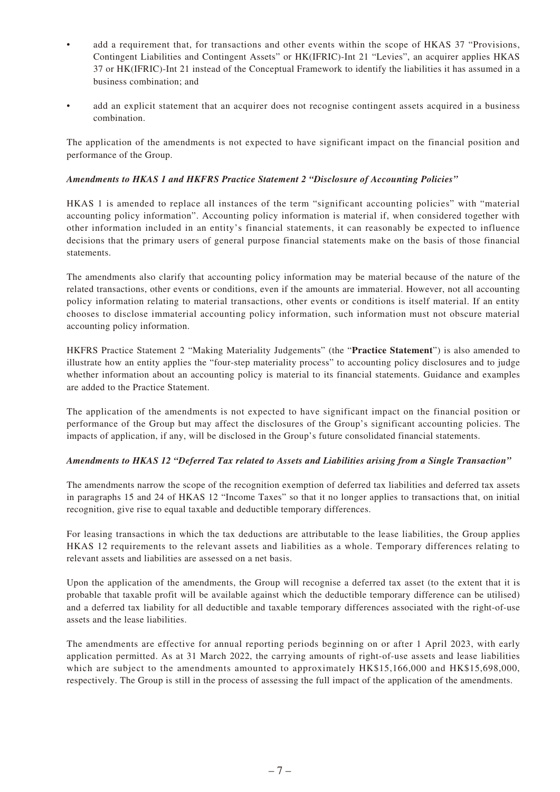- add a requirement that, for transactions and other events within the scope of HKAS 37 "Provisions, Contingent Liabilities and Contingent Assets" or HK(IFRIC)-Int 21 "Levies", an acquirer applies HKAS 37 or HK(IFRIC)-Int 21 instead of the Conceptual Framework to identify the liabilities it has assumed in a business combination; and
- add an explicit statement that an acquirer does not recognise contingent assets acquired in a business combination.

The application of the amendments is not expected to have significant impact on the financial position and performance of the Group.

#### *Amendments to HKAS 1 and HKFRS Practice Statement 2 "Disclosure of Accounting Policies"*

HKAS 1 is amended to replace all instances of the term "significant accounting policies" with "material accounting policy information". Accounting policy information is material if, when considered together with other information included in an entity's financial statements, it can reasonably be expected to influence decisions that the primary users of general purpose financial statements make on the basis of those financial statements.

The amendments also clarify that accounting policy information may be material because of the nature of the related transactions, other events or conditions, even if the amounts are immaterial. However, not all accounting policy information relating to material transactions, other events or conditions is itself material. If an entity chooses to disclose immaterial accounting policy information, such information must not obscure material accounting policy information.

HKFRS Practice Statement 2 "Making Materiality Judgements" (the "**Practice Statement**") is also amended to illustrate how an entity applies the "four-step materiality process" to accounting policy disclosures and to judge whether information about an accounting policy is material to its financial statements. Guidance and examples are added to the Practice Statement.

The application of the amendments is not expected to have significant impact on the financial position or performance of the Group but may affect the disclosures of the Group's significant accounting policies. The impacts of application, if any, will be disclosed in the Group's future consolidated financial statements.

#### *Amendments to HKAS 12 "Deferred Tax related to Assets and Liabilities arising from a Single Transaction"*

The amendments narrow the scope of the recognition exemption of deferred tax liabilities and deferred tax assets in paragraphs 15 and 24 of HKAS 12 "Income Taxes" so that it no longer applies to transactions that, on initial recognition, give rise to equal taxable and deductible temporary differences.

For leasing transactions in which the tax deductions are attributable to the lease liabilities, the Group applies HKAS 12 requirements to the relevant assets and liabilities as a whole. Temporary differences relating to relevant assets and liabilities are assessed on a net basis.

Upon the application of the amendments, the Group will recognise a deferred tax asset (to the extent that it is probable that taxable profit will be available against which the deductible temporary difference can be utilised) and a deferred tax liability for all deductible and taxable temporary differences associated with the right-of-use assets and the lease liabilities.

The amendments are effective for annual reporting periods beginning on or after 1 April 2023, with early application permitted. As at 31 March 2022, the carrying amounts of right-of-use assets and lease liabilities which are subject to the amendments amounted to approximately HK\$15,166,000 and HK\$15,698,000, respectively. The Group is still in the process of assessing the full impact of the application of the amendments.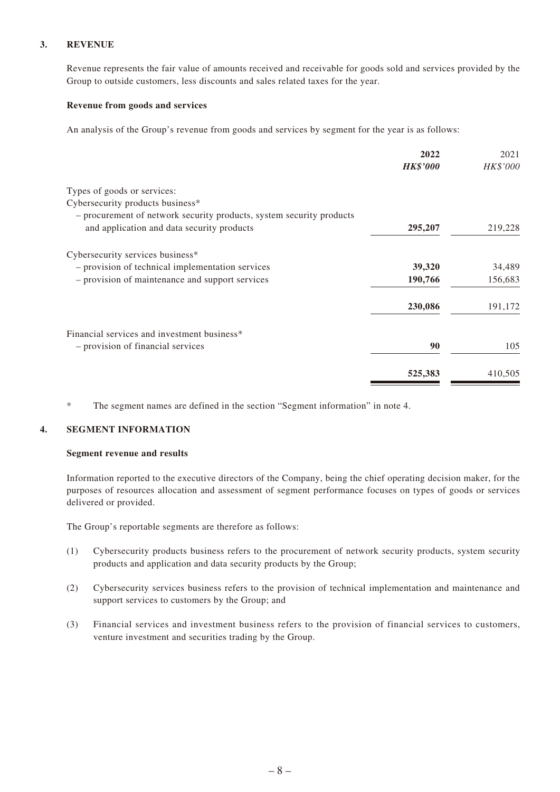#### **3. REVENUE**

Revenue represents the fair value of amounts received and receivable for goods sold and services provided by the Group to outside customers, less discounts and sales related taxes for the year.

#### **Revenue from goods and services**

An analysis of the Group's revenue from goods and services by segment for the year is as follows:

|                                                                      | 2022            | 2021     |
|----------------------------------------------------------------------|-----------------|----------|
|                                                                      | <b>HK\$'000</b> | HK\$'000 |
| Types of goods or services:                                          |                 |          |
| Cybersecurity products business*                                     |                 |          |
| - procurement of network security products, system security products |                 |          |
| and application and data security products                           | 295,207         | 219,228  |
| Cybersecurity services business*                                     |                 |          |
| - provision of technical implementation services                     | 39,320          | 34,489   |
| - provision of maintenance and support services                      | 190,766         | 156,683  |
|                                                                      | 230,086         | 191,172  |
| Financial services and investment business <sup>*</sup>              |                 |          |
| - provision of financial services                                    | 90              | 105      |
|                                                                      | 525,383         | 410,505  |
|                                                                      |                 |          |

\* The segment names are defined in the section "Segment information" in note 4.

#### **4. SEGMENT INFORMATION**

#### **Segment revenue and results**

Information reported to the executive directors of the Company, being the chief operating decision maker, for the purposes of resources allocation and assessment of segment performance focuses on types of goods or services delivered or provided.

The Group's reportable segments are therefore as follows:

- (1) Cybersecurity products business refers to the procurement of network security products, system security products and application and data security products by the Group;
- (2) Cybersecurity services business refers to the provision of technical implementation and maintenance and support services to customers by the Group; and
- (3) Financial services and investment business refers to the provision of financial services to customers, venture investment and securities trading by the Group.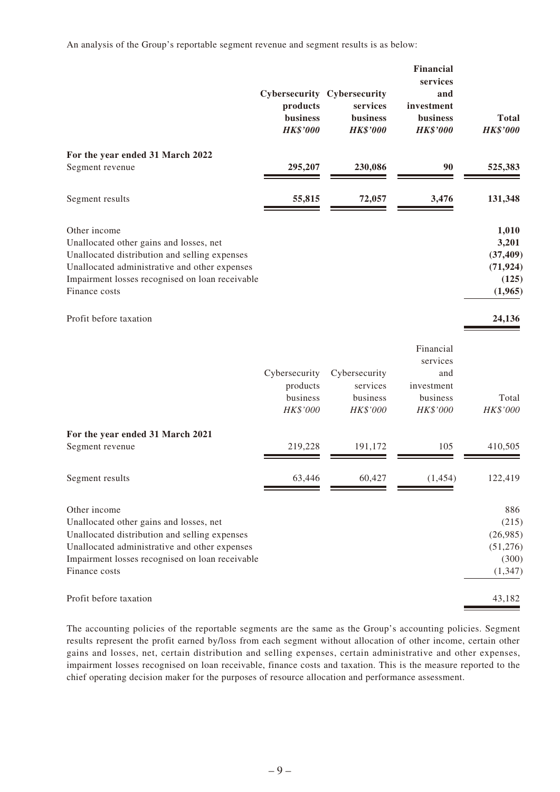An analysis of the Group's reportable segment revenue and segment results is as below:

|                                                                                                | products<br>business<br><b>HK\$'000</b>           | Cybersecurity Cybersecurity<br>services<br>business<br><b>HK\$'000</b> | Financial<br>services<br>and<br>investment<br>business<br><b>HK\$'000</b> | <b>Total</b><br><b>HK\$'000</b> |
|------------------------------------------------------------------------------------------------|---------------------------------------------------|------------------------------------------------------------------------|---------------------------------------------------------------------------|---------------------------------|
| For the year ended 31 March 2022<br>Segment revenue                                            | 295,207                                           | 230,086                                                                | 90                                                                        | 525,383                         |
|                                                                                                |                                                   |                                                                        |                                                                           |                                 |
| Segment results                                                                                | 55,815                                            | 72,057                                                                 | 3,476                                                                     | 131,348                         |
| Other income                                                                                   |                                                   |                                                                        |                                                                           | 1,010                           |
| Unallocated other gains and losses, net                                                        |                                                   |                                                                        |                                                                           | 3,201                           |
| Unallocated distribution and selling expenses<br>Unallocated administrative and other expenses |                                                   |                                                                        |                                                                           | (37, 409)<br>(71, 924)          |
| Impairment losses recognised on loan receivable                                                |                                                   |                                                                        |                                                                           | (125)                           |
| Finance costs                                                                                  |                                                   |                                                                        |                                                                           | (1,965)                         |
| Profit before taxation                                                                         |                                                   |                                                                        |                                                                           | 24,136                          |
|                                                                                                | Cybersecurity<br>products<br>business<br>HK\$'000 | Cybersecurity<br>services<br>business<br>HK\$'000                      | Financial<br>services<br>and<br>investment<br>business<br>HK\$'000        | Total<br>HK\$'000               |
| For the year ended 31 March 2021                                                               |                                                   |                                                                        |                                                                           |                                 |
| Segment revenue                                                                                | 219,228                                           | 191,172                                                                | 105                                                                       | 410,505                         |
| Segment results                                                                                | 63,446                                            | 60,427                                                                 | (1, 454)                                                                  | 122,419                         |
| Other income                                                                                   |                                                   |                                                                        |                                                                           | 886                             |
| Unallocated other gains and losses, net                                                        |                                                   |                                                                        |                                                                           | (215)                           |
| Unallocated distribution and selling expenses<br>Unallocated administrative and other expenses |                                                   |                                                                        |                                                                           | (26,985)                        |
| Impairment losses recognised on loan receivable                                                |                                                   |                                                                        |                                                                           | (51, 276)<br>(300)              |
| Finance costs                                                                                  |                                                   |                                                                        |                                                                           | (1, 347)                        |
| Profit before taxation                                                                         |                                                   |                                                                        |                                                                           | 43,182                          |

The accounting policies of the reportable segments are the same as the Group's accounting policies. Segment results represent the profit earned by/loss from each segment without allocation of other income, certain other gains and losses, net, certain distribution and selling expenses, certain administrative and other expenses, impairment losses recognised on loan receivable, finance costs and taxation. This is the measure reported to the chief operating decision maker for the purposes of resource allocation and performance assessment.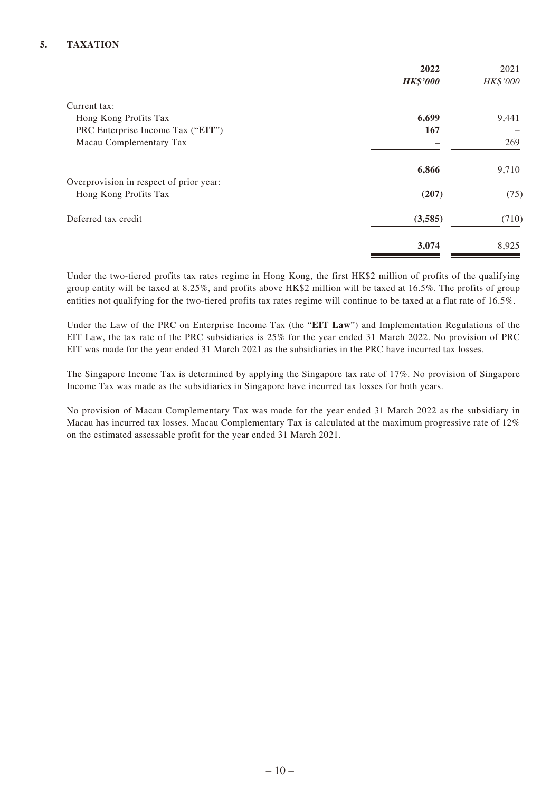#### **5. TAXATION**

|                                         | 2022            | 2021     |
|-----------------------------------------|-----------------|----------|
|                                         | <b>HK\$'000</b> | HK\$'000 |
| Current tax:                            |                 |          |
| Hong Kong Profits Tax                   | 6,699           | 9,441    |
| PRC Enterprise Income Tax ("EIT")       | 167             |          |
| Macau Complementary Tax                 |                 | 269      |
|                                         | 6,866           | 9,710    |
| Overprovision in respect of prior year: |                 |          |
| Hong Kong Profits Tax                   | (207)           | (75)     |
| Deferred tax credit                     | (3,585)         | (710)    |
|                                         | 3,074           | 8,925    |

Under the two-tiered profits tax rates regime in Hong Kong, the first HK\$2 million of profits of the qualifying group entity will be taxed at 8.25%, and profits above HK\$2 million will be taxed at 16.5%. The profits of group entities not qualifying for the two-tiered profits tax rates regime will continue to be taxed at a flat rate of 16.5%.

Under the Law of the PRC on Enterprise Income Tax (the "**EIT Law**") and Implementation Regulations of the EIT Law, the tax rate of the PRC subsidiaries is 25% for the year ended 31 March 2022. No provision of PRC EIT was made for the year ended 31 March 2021 as the subsidiaries in the PRC have incurred tax losses.

The Singapore Income Tax is determined by applying the Singapore tax rate of 17%. No provision of Singapore Income Tax was made as the subsidiaries in Singapore have incurred tax losses for both years.

No provision of Macau Complementary Tax was made for the year ended 31 March 2022 as the subsidiary in Macau has incurred tax losses. Macau Complementary Tax is calculated at the maximum progressive rate of 12% on the estimated assessable profit for the year ended 31 March 2021.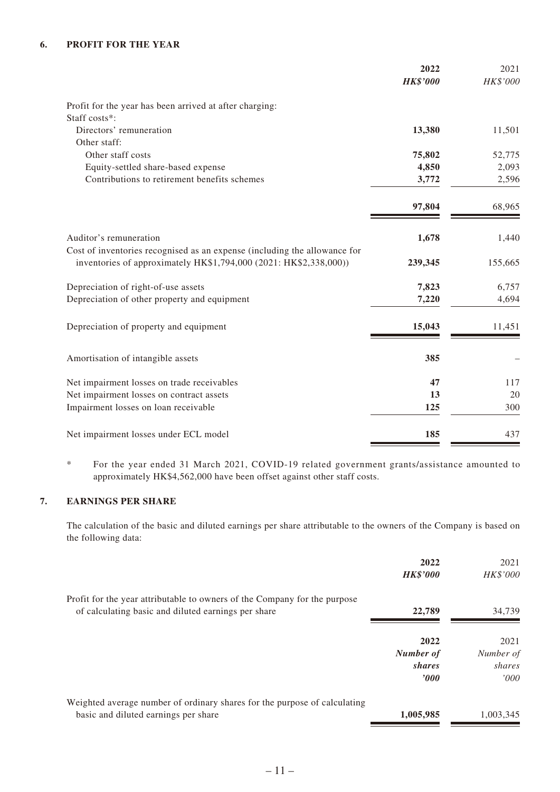|                                                                                                                                                | 2022<br><b>HK\$'000</b> | 2021<br>HK\$'000 |
|------------------------------------------------------------------------------------------------------------------------------------------------|-------------------------|------------------|
| Profit for the year has been arrived at after charging:                                                                                        |                         |                  |
| Staff costs*:                                                                                                                                  |                         |                  |
| Directors' remuneration                                                                                                                        | 13,380                  | 11,501           |
| Other staff:                                                                                                                                   |                         |                  |
| Other staff costs                                                                                                                              | 75,802                  | 52,775           |
| Equity-settled share-based expense                                                                                                             | 4,850                   | 2,093            |
| Contributions to retirement benefits schemes                                                                                                   | 3,772                   | 2,596            |
|                                                                                                                                                | 97,804                  | 68,965           |
| Auditor's remuneration                                                                                                                         | 1,678                   | 1,440            |
| Cost of inventories recognised as an expense (including the allowance for<br>inventories of approximately HK\$1,794,000 (2021: HK\$2,338,000)) | 239,345                 | 155,665          |
| Depreciation of right-of-use assets                                                                                                            | 7,823                   | 6,757            |
| Depreciation of other property and equipment                                                                                                   | 7,220                   | 4,694            |
| Depreciation of property and equipment                                                                                                         | 15,043                  | 11,451           |
| Amortisation of intangible assets                                                                                                              | 385                     |                  |
| Net impairment losses on trade receivables                                                                                                     | 47                      | 117              |
| Net impairment losses on contract assets                                                                                                       | 13                      | 20               |
| Impairment losses on loan receivable                                                                                                           | 125                     | 300              |
| Net impairment losses under ECL model                                                                                                          | 185                     | 437              |

\* For the year ended 31 March 2021, COVID-19 related government grants/assistance amounted to approximately HK\$4,562,000 have been offset against other staff costs.

## **7. EARNINGS PER SHARE**

The calculation of the basic and diluted earnings per share attributable to the owners of the Company is based on the following data:

|                                                                           | 2022            | 2021      |
|---------------------------------------------------------------------------|-----------------|-----------|
|                                                                           | <b>HK\$'000</b> | HK\$'000  |
| Profit for the year attributable to owners of the Company for the purpose |                 |           |
| of calculating basic and diluted earnings per share                       | 22,789          | 34.739    |
|                                                                           | 2022            | 2021      |
|                                                                           | Number of       | Number of |
|                                                                           | shares          | shares    |
|                                                                           | 2000            | 000'      |
| Weighted average number of ordinary shares for the purpose of calculating |                 |           |
| basic and diluted earnings per share                                      | 1,005,985       | 1,003,345 |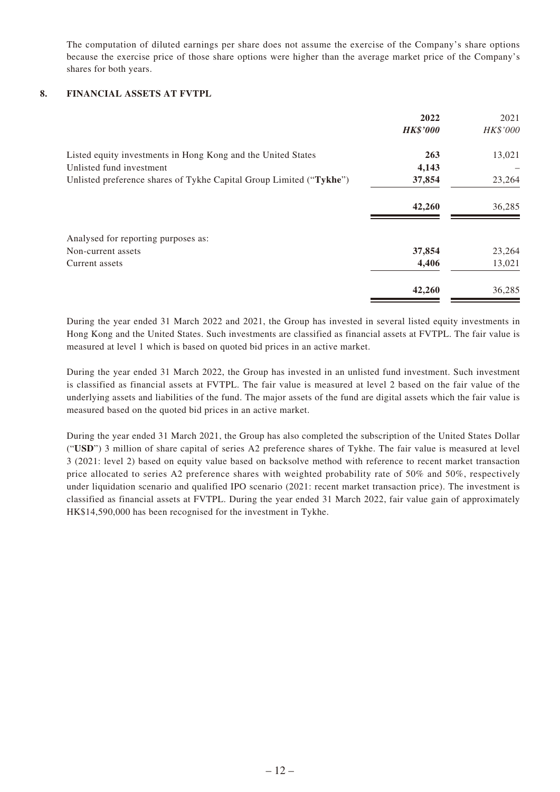The computation of diluted earnings per share does not assume the exercise of the Company's share options because the exercise price of those share options were higher than the average market price of the Company's shares for both years.

#### **8. FINANCIAL ASSETS AT FVTPL**

|                                                                     | 2022            | 2021     |
|---------------------------------------------------------------------|-----------------|----------|
|                                                                     | <b>HK\$'000</b> | HK\$'000 |
| Listed equity investments in Hong Kong and the United States        | 263             | 13,021   |
| Unlisted fund investment                                            | 4,143           |          |
| Unlisted preference shares of Tykhe Capital Group Limited ("Tykhe") | 37,854          | 23,264   |
|                                                                     | 42,260          | 36,285   |
| Analysed for reporting purposes as:                                 |                 |          |
| Non-current assets                                                  | 37,854          | 23,264   |
| Current assets                                                      | 4,406           | 13,021   |
|                                                                     | 42,260          | 36,285   |

During the year ended 31 March 2022 and 2021, the Group has invested in several listed equity investments in Hong Kong and the United States. Such investments are classified as financial assets at FVTPL. The fair value is measured at level 1 which is based on quoted bid prices in an active market.

During the year ended 31 March 2022, the Group has invested in an unlisted fund investment. Such investment is classified as financial assets at FVTPL. The fair value is measured at level 2 based on the fair value of the underlying assets and liabilities of the fund. The major assets of the fund are digital assets which the fair value is measured based on the quoted bid prices in an active market.

During the year ended 31 March 2021, the Group has also completed the subscription of the United States Dollar ("**USD**") 3 million of share capital of series A2 preference shares of Tykhe. The fair value is measured at level 3 (2021: level 2) based on equity value based on backsolve method with reference to recent market transaction price allocated to series A2 preference shares with weighted probability rate of 50% and 50%, respectively under liquidation scenario and qualified IPO scenario (2021: recent market transaction price). The investment is classified as financial assets at FVTPL. During the year ended 31 March 2022, fair value gain of approximately HK\$14,590,000 has been recognised for the investment in Tykhe.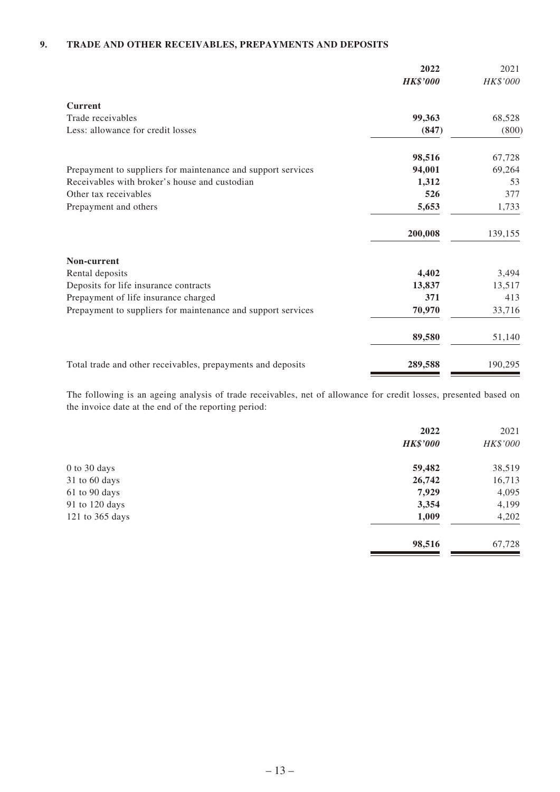#### **9. TRADE AND OTHER RECEIVABLES, PREPAYMENTS AND DEPOSITS**

|                                                              | 2022<br><b>HK\$'000</b> | 2021<br>HK\$'000 |
|--------------------------------------------------------------|-------------------------|------------------|
| <b>Current</b>                                               |                         |                  |
| Trade receivables                                            | 99,363                  | 68,528           |
| Less: allowance for credit losses                            | (847)                   | (800)            |
|                                                              | 98,516                  | 67,728           |
| Prepayment to suppliers for maintenance and support services | 94,001                  | 69,264           |
| Receivables with broker's house and custodian                | 1,312                   | 53               |
| Other tax receivables                                        | 526                     | 377              |
| Prepayment and others                                        | 5,653                   | 1,733            |
|                                                              | 200,008                 | 139,155          |
| Non-current                                                  |                         |                  |
| Rental deposits                                              | 4,402                   | 3,494            |
| Deposits for life insurance contracts                        | 13,837                  | 13,517           |
| Prepayment of life insurance charged                         | 371                     | 413              |
| Prepayment to suppliers for maintenance and support services | 70,970                  | 33,716           |
|                                                              | 89,580                  | 51,140           |
| Total trade and other receivables, prepayments and deposits  | 289,588                 | 190,295          |

The following is an ageing analysis of trade receivables, net of allowance for credit losses, presented based on the invoice date at the end of the reporting period:

|                   | 2022<br><b>HK\$'000</b> | 2021<br>HK\$'000 |
|-------------------|-------------------------|------------------|
| 0 to 30 days      | 59,482                  | 38,519           |
| 31 to 60 days     | 26,742                  | 16,713           |
| $61$ to $90$ days | 7,929                   | 4,095            |
| 91 to 120 days    | 3,354                   | 4,199            |
| 121 to 365 days   | 1,009                   | 4,202            |
|                   | 98,516                  | 67,728           |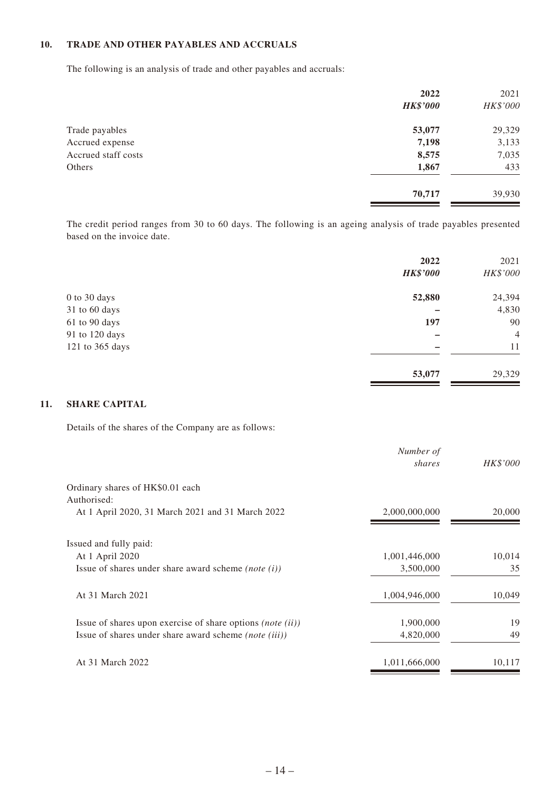#### **10. TRADE AND OTHER PAYABLES AND ACCRUALS**

The following is an analysis of trade and other payables and accruals:

|                     | 2022            | 2021     |
|---------------------|-----------------|----------|
|                     | <b>HK\$'000</b> | HK\$'000 |
| Trade payables      | 53,077          | 29,329   |
| Accrued expense     | 7,198           | 3,133    |
| Accrued staff costs | 8,575           | 7,035    |
| Others              | 1,867           | 433      |
|                     | 70,717          | 39,930   |

The credit period ranges from 30 to 60 days. The following is an ageing analysis of trade payables presented based on the invoice date.

|                 | 2022            | 2021           |
|-----------------|-----------------|----------------|
|                 | <b>HK\$'000</b> | HK\$'000       |
| 0 to 30 days    | 52,880          | 24,394         |
| 31 to 60 days   |                 | 4,830          |
| 61 to 90 days   | 197             | 90             |
| 91 to 120 days  |                 | $\overline{4}$ |
| 121 to 365 days |                 | 11             |
|                 | 53,077          | 29,329         |

#### **11. SHARE CAPITAL**

Details of the shares of the Company are as follows:

| Number of<br>shares | HK\$'000 |
|---------------------|----------|
|                     |          |
|                     |          |
| 2,000,000,000       | 20,000   |
|                     |          |
| 1,001,446,000       | 10,014   |
| 3,500,000           | 35       |
| 1,004,946,000       | 10,049   |
| 1,900,000           | 19       |
| 4,820,000           | 49       |
| 1,011,666,000       | 10,117   |
|                     |          |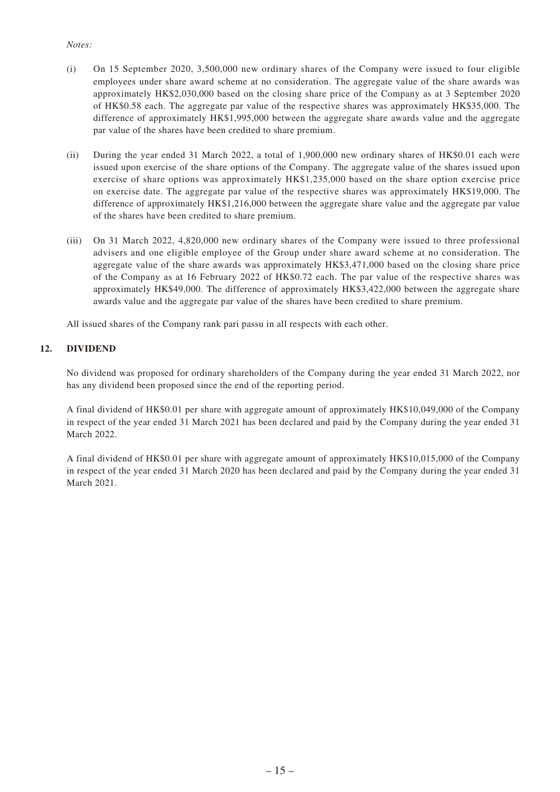#### *Notes:*

- (i) On 15 September 2020, 3,500,000 new ordinary shares of the Company were issued to four eligible employees under share award scheme at no consideration. The aggregate value of the share awards was approximately HK\$2,030,000 based on the closing share price of the Company as at 3 September 2020 of HK\$0.58 each. The aggregate par value of the respective shares was approximately HK\$35,000. The difference of approximately HK\$1,995,000 between the aggregate share awards value and the aggregate par value of the shares have been credited to share premium.
- (ii) During the year ended 31 March 2022, a total of 1,900,000 new ordinary shares of HK\$0.01 each were issued upon exercise of the share options of the Company. The aggregate value of the shares issued upon exercise of share options was approximately HK\$1,235,000 based on the share option exercise price on exercise date. The aggregate par value of the respective shares was approximately HK\$19,000. The difference of approximately HK\$1,216,000 between the aggregate share value and the aggregate par value of the shares have been credited to share premium.
- (iii) On 31 March 2022, 4,820,000 new ordinary shares of the Company were issued to three professional advisers and one eligible employee of the Group under share award scheme at no consideration. The aggregate value of the share awards was approximately HK\$3,471,000 based on the closing share price of the Company as at 16 February 2022 of HK\$0.72 each. The par value of the respective shares was approximately HK\$49,000. The difference of approximately HK\$3,422,000 between the aggregate share awards value and the aggregate par value of the shares have been credited to share premium.

All issued shares of the Company rank pari passu in all respects with each other.

#### **12. DIVIDEND**

No dividend was proposed for ordinary shareholders of the Company during the year ended 31 March 2022, nor has any dividend been proposed since the end of the reporting period.

A final dividend of HK\$0.01 per share with aggregate amount of approximately HK\$10,049,000 of the Company in respect of the year ended 31 March 2021 has been declared and paid by the Company during the year ended 31 March 2022.

A final dividend of HK\$0.01 per share with aggregate amount of approximately HK\$10,015,000 of the Company in respect of the year ended 31 March 2020 has been declared and paid by the Company during the year ended 31 March 2021.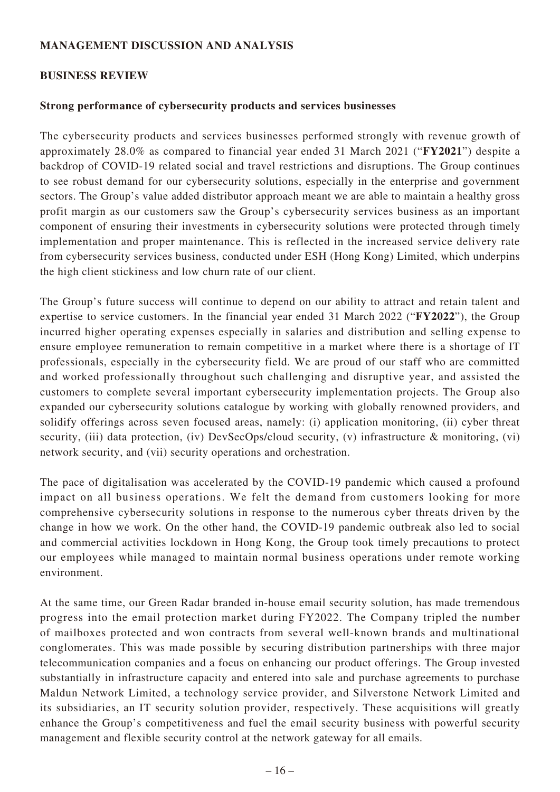## **MANAGEMENT DISCUSSION AND ANALYSIS**

#### **BUSINESS REVIEW**

#### **Strong performance of cybersecurity products and services businesses**

The cybersecurity products and services businesses performed strongly with revenue growth of approximately 28.0% as compared to financial year ended 31 March 2021 ("**FY2021**") despite a backdrop of COVID-19 related social and travel restrictions and disruptions. The Group continues to see robust demand for our cybersecurity solutions, especially in the enterprise and government sectors. The Group's value added distributor approach meant we are able to maintain a healthy gross profit margin as our customers saw the Group's cybersecurity services business as an important component of ensuring their investments in cybersecurity solutions were protected through timely implementation and proper maintenance. This is reflected in the increased service delivery rate from cybersecurity services business, conducted under ESH (Hong Kong) Limited, which underpins the high client stickiness and low churn rate of our client.

The Group's future success will continue to depend on our ability to attract and retain talent and expertise to service customers. In the financial year ended 31 March 2022 ("**FY2022**"), the Group incurred higher operating expenses especially in salaries and distribution and selling expense to ensure employee remuneration to remain competitive in a market where there is a shortage of IT professionals, especially in the cybersecurity field. We are proud of our staff who are committed and worked professionally throughout such challenging and disruptive year, and assisted the customers to complete several important cybersecurity implementation projects. The Group also expanded our cybersecurity solutions catalogue by working with globally renowned providers, and solidify offerings across seven focused areas, namely: (i) application monitoring, (ii) cyber threat security, (iii) data protection, (iv) DevSecOps/cloud security, (v) infrastructure & monitoring, (vi) network security, and (vii) security operations and orchestration.

The pace of digitalisation was accelerated by the COVID-19 pandemic which caused a profound impact on all business operations. We felt the demand from customers looking for more comprehensive cybersecurity solutions in response to the numerous cyber threats driven by the change in how we work. On the other hand, the COVID-19 pandemic outbreak also led to social and commercial activities lockdown in Hong Kong, the Group took timely precautions to protect our employees while managed to maintain normal business operations under remote working environment.

At the same time, our Green Radar branded in-house email security solution, has made tremendous progress into the email protection market during FY2022. The Company tripled the number of mailboxes protected and won contracts from several well-known brands and multinational conglomerates. This was made possible by securing distribution partnerships with three major telecommunication companies and a focus on enhancing our product offerings. The Group invested substantially in infrastructure capacity and entered into sale and purchase agreements to purchase Maldun Network Limited, a technology service provider, and Silverstone Network Limited and its subsidiaries, an IT security solution provider, respectively. These acquisitions will greatly enhance the Group's competitiveness and fuel the email security business with powerful security management and flexible security control at the network gateway for all emails.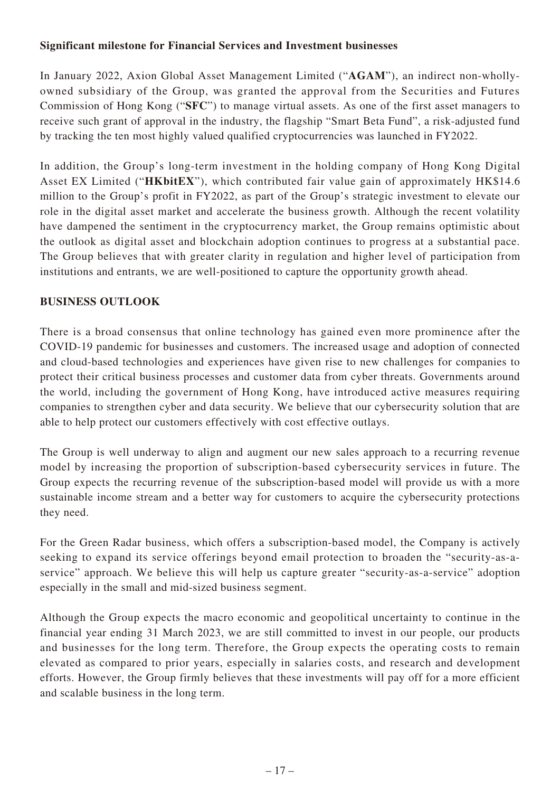## **Significant milestone for Financial Services and Investment businesses**

In January 2022, Axion Global Asset Management Limited ("**AGAM**"), an indirect non-whollyowned subsidiary of the Group, was granted the approval from the Securities and Futures Commission of Hong Kong ("**SFC**") to manage virtual assets. As one of the first asset managers to receive such grant of approval in the industry, the flagship "Smart Beta Fund", a risk-adjusted fund by tracking the ten most highly valued qualified cryptocurrencies was launched in FY2022.

In addition, the Group's long-term investment in the holding company of Hong Kong Digital Asset EX Limited ("**HKbitEX**"), which contributed fair value gain of approximately HK\$14.6 million to the Group's profit in FY2022, as part of the Group's strategic investment to elevate our role in the digital asset market and accelerate the business growth. Although the recent volatility have dampened the sentiment in the cryptocurrency market, the Group remains optimistic about the outlook as digital asset and blockchain adoption continues to progress at a substantial pace. The Group believes that with greater clarity in regulation and higher level of participation from institutions and entrants, we are well-positioned to capture the opportunity growth ahead.

#### **BUSINESS OUTLOOK**

There is a broad consensus that online technology has gained even more prominence after the COVID-19 pandemic for businesses and customers. The increased usage and adoption of connected and cloud-based technologies and experiences have given rise to new challenges for companies to protect their critical business processes and customer data from cyber threats. Governments around the world, including the government of Hong Kong, have introduced active measures requiring companies to strengthen cyber and data security. We believe that our cybersecurity solution that are able to help protect our customers effectively with cost effective outlays.

The Group is well underway to align and augment our new sales approach to a recurring revenue model by increasing the proportion of subscription-based cybersecurity services in future. The Group expects the recurring revenue of the subscription-based model will provide us with a more sustainable income stream and a better way for customers to acquire the cybersecurity protections they need.

For the Green Radar business, which offers a subscription-based model, the Company is actively seeking to expand its service offerings beyond email protection to broaden the "security-as-aservice" approach. We believe this will help us capture greater "security-as-a-service" adoption especially in the small and mid-sized business segment.

Although the Group expects the macro economic and geopolitical uncertainty to continue in the financial year ending 31 March 2023, we are still committed to invest in our people, our products and businesses for the long term. Therefore, the Group expects the operating costs to remain elevated as compared to prior years, especially in salaries costs, and research and development efforts. However, the Group firmly believes that these investments will pay off for a more efficient and scalable business in the long term.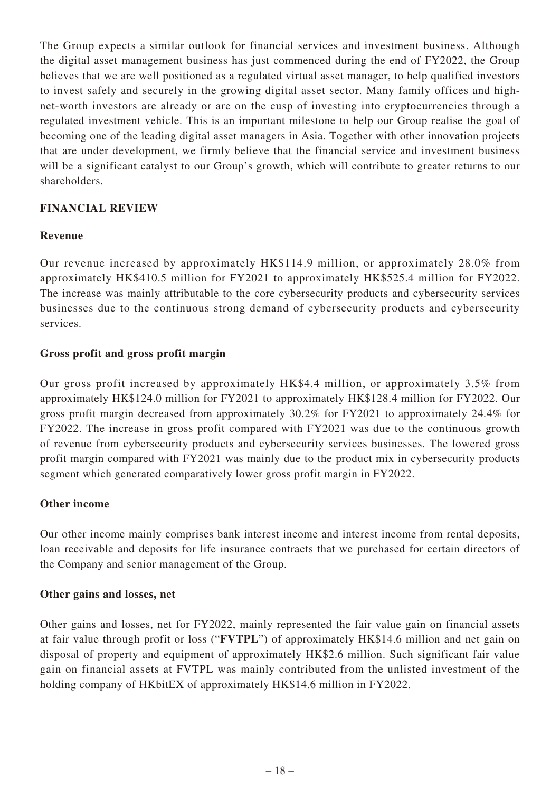The Group expects a similar outlook for financial services and investment business. Although the digital asset management business has just commenced during the end of FY2022, the Group believes that we are well positioned as a regulated virtual asset manager, to help qualified investors to invest safely and securely in the growing digital asset sector. Many family offices and highnet-worth investors are already or are on the cusp of investing into cryptocurrencies through a regulated investment vehicle. This is an important milestone to help our Group realise the goal of becoming one of the leading digital asset managers in Asia. Together with other innovation projects that are under development, we firmly believe that the financial service and investment business will be a significant catalyst to our Group's growth, which will contribute to greater returns to our shareholders.

## **FINANCIAL REVIEW**

#### **Revenue**

Our revenue increased by approximately HK\$114.9 million, or approximately 28.0% from approximately HK\$410.5 million for FY2021 to approximately HK\$525.4 million for FY2022. The increase was mainly attributable to the core cybersecurity products and cybersecurity services businesses due to the continuous strong demand of cybersecurity products and cybersecurity services.

#### **Gross profit and gross profit margin**

Our gross profit increased by approximately HK\$4.4 million, or approximately 3.5% from approximately HK\$124.0 million for FY2021 to approximately HK\$128.4 million for FY2022. Our gross profit margin decreased from approximately 30.2% for FY2021 to approximately 24.4% for FY2022. The increase in gross profit compared with FY2021 was due to the continuous growth of revenue from cybersecurity products and cybersecurity services businesses. The lowered gross profit margin compared with FY2021 was mainly due to the product mix in cybersecurity products segment which generated comparatively lower gross profit margin in FY2022.

#### **Other income**

Our other income mainly comprises bank interest income and interest income from rental deposits, loan receivable and deposits for life insurance contracts that we purchased for certain directors of the Company and senior management of the Group.

#### **Other gains and losses, net**

Other gains and losses, net for FY2022, mainly represented the fair value gain on financial assets at fair value through profit or loss ("**FVTPL**") of approximately HK\$14.6 million and net gain on disposal of property and equipment of approximately HK\$2.6 million. Such significant fair value gain on financial assets at FVTPL was mainly contributed from the unlisted investment of the holding company of HKbitEX of approximately HK\$14.6 million in FY2022.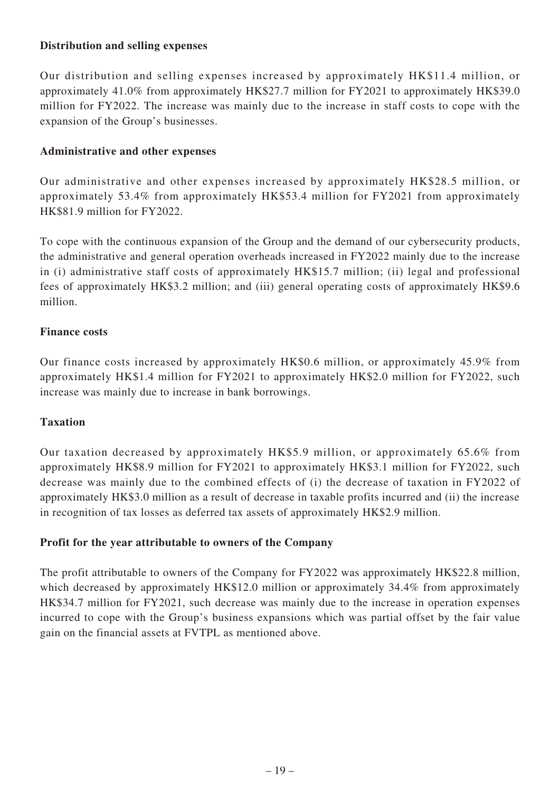## **Distribution and selling expenses**

Our distribution and selling expenses increased by approximately HK\$11.4 million, or approximately 41.0% from approximately HK\$27.7 million for FY2021 to approximately HK\$39.0 million for FY2022. The increase was mainly due to the increase in staff costs to cope with the expansion of the Group's businesses.

#### **Administrative and other expenses**

Our administrative and other expenses increased by approximately HK\$28.5 million, or approximately 53.4% from approximately HK\$53.4 million for FY2021 from approximately HK\$81.9 million for FY2022.

To cope with the continuous expansion of the Group and the demand of our cybersecurity products, the administrative and general operation overheads increased in FY2022 mainly due to the increase in (i) administrative staff costs of approximately HK\$15.7 million; (ii) legal and professional fees of approximately HK\$3.2 million; and (iii) general operating costs of approximately HK\$9.6 million.

#### **Finance costs**

Our finance costs increased by approximately HK\$0.6 million, or approximately 45.9% from approximately HK\$1.4 million for FY2021 to approximately HK\$2.0 million for FY2022, such increase was mainly due to increase in bank borrowings.

#### **Taxation**

Our taxation decreased by approximately HK\$5.9 million, or approximately 65.6% from approximately HK\$8.9 million for FY2021 to approximately HK\$3.1 million for FY2022, such decrease was mainly due to the combined effects of (i) the decrease of taxation in FY2022 of approximately HK\$3.0 million as a result of decrease in taxable profits incurred and (ii) the increase in recognition of tax losses as deferred tax assets of approximately HK\$2.9 million.

#### **Profit for the year attributable to owners of the Company**

The profit attributable to owners of the Company for FY2022 was approximately HK\$22.8 million, which decreased by approximately HK\$12.0 million or approximately 34.4% from approximately HK\$34.7 million for FY2021, such decrease was mainly due to the increase in operation expenses incurred to cope with the Group's business expansions which was partial offset by the fair value gain on the financial assets at FVTPL as mentioned above.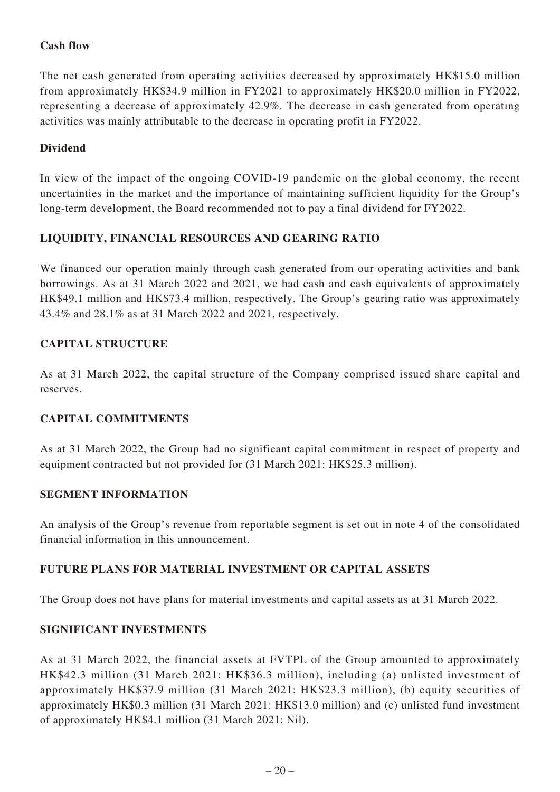## **Cash flow**

The net cash generated from operating activities decreased by approximately HK\$15.0 million from approximately HK\$34.9 million in FY2021 to approximately HK\$20.0 million in FY2022, representing a decrease of approximately 42.9%. The decrease in cash generated from operating activities was mainly attributable to the decrease in operating profit in FY2022.

#### **Dividend**

In view of the impact of the ongoing COVID-19 pandemic on the global economy, the recent uncertainties in the market and the importance of maintaining sufficient liquidity for the Group's long-term development, the Board recommended not to pay a final dividend for FY2022.

#### **LIQUIDITY, FINANCIAL RESOURCES AND GEARING RATIO**

We financed our operation mainly through cash generated from our operating activities and bank borrowings. As at 31 March 2022 and 2021, we had cash and cash equivalents of approximately HK\$49.1 million and HK\$73.4 million, respectively. The Group's gearing ratio was approximately 43.4% and 28.1% as at 31 March 2022 and 2021, respectively.

#### **CAPITAL STRUCTURE**

As at 31 March 2022, the capital structure of the Company comprised issued share capital and reserves.

#### **CAPITAL COMMITMENTS**

As at 31 March 2022, the Group had no significant capital commitment in respect of property and equipment contracted but not provided for (31 March 2021: HK\$25.3 million).

#### **SEGMENT INFORMATION**

An analysis of the Group's revenue from reportable segment is set out in note 4 of the consolidated financial information in this announcement.

#### **FUTURE PLANS FOR MATERIAL INVESTMENT OR CAPITAL ASSETS**

The Group does not have plans for material investments and capital assets as at 31 March 2022.

#### **SIGNIFICANT INVESTMENTS**

As at 31 March 2022, the financial assets at FVTPL of the Group amounted to approximately HK\$42.3 million (31 March 2021: HK\$36.3 million), including (a) unlisted investment of approximately HK\$37.9 million (31 March 2021: HK\$23.3 million), (b) equity securities of approximately HK\$0.3 million (31 March 2021: HK\$13.0 million) and (c) unlisted fund investment of approximately HK\$4.1 million (31 March 2021: Nil).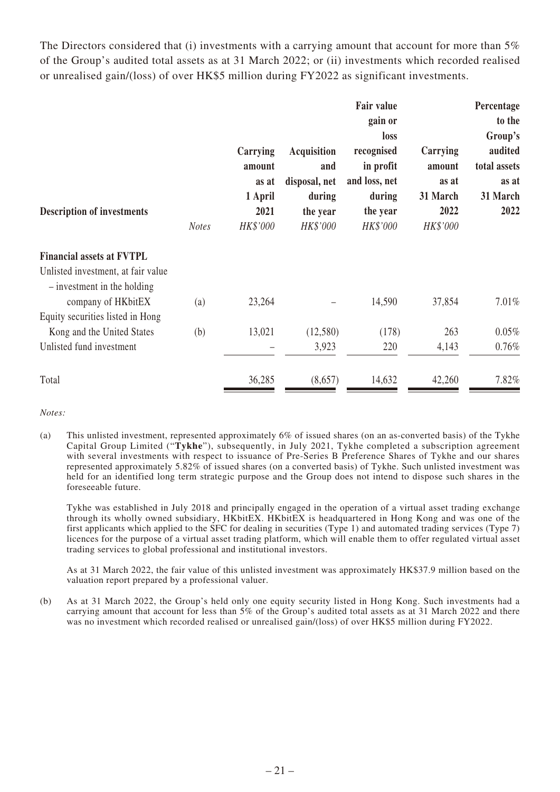The Directors considered that (i) investments with a carrying amount that account for more than 5% of the Group's audited total assets as at 31 March 2022; or (ii) investments which recorded realised or unrealised gain/(loss) of over HK\$5 million during FY2022 as significant investments.

| <b>Description of investments</b>                                                                                                                                                                                           | <b>Notes</b> | Carrying<br>amount<br>as at<br>1 April<br>2021<br>HK\$'000 | <b>Acquisition</b><br>and<br>disposal, net<br>during<br>the year<br>HK\$'000 | <b>Fair value</b><br>gain or<br>loss<br>recognised<br>in profit<br>and loss, net<br>during<br>the year<br>HK\$'000 | Carrying<br>amount<br>as at<br>31 March<br>2022<br>HK\$'000 | Percentage<br>to the<br>Group's<br>audited<br>total assets<br>as at<br>31 March<br>2022 |
|-----------------------------------------------------------------------------------------------------------------------------------------------------------------------------------------------------------------------------|--------------|------------------------------------------------------------|------------------------------------------------------------------------------|--------------------------------------------------------------------------------------------------------------------|-------------------------------------------------------------|-----------------------------------------------------------------------------------------|
| <b>Financial assets at FVTPL</b><br>Unlisted investment, at fair value<br>$-$ investment in the holding<br>company of HKbitEX<br>Equity securities listed in Hong<br>Kong and the United States<br>Unlisted fund investment | (a)<br>(b)   | 23,264<br>13,021                                           | (12,580)<br>3,923                                                            | 14,590<br>(178)<br>220                                                                                             | 37,854<br>263<br>4,143                                      | 7.01%<br>0.05%<br>0.76%                                                                 |
| Total                                                                                                                                                                                                                       |              | 36,285                                                     | (8,657)                                                                      | 14,632                                                                                                             | 42,260                                                      | 7.82%                                                                                   |

*Notes:*

(a) This unlisted investment, represented approximately 6% of issued shares (on an as-converted basis) of the Tykhe Capital Group Limited ("**Tykhe**"), subsequently, in July 2021, Tykhe completed a subscription agreement with several investments with respect to issuance of Pre-Series B Preference Shares of Tykhe and our shares represented approximately 5.82% of issued shares (on a converted basis) of Tykhe. Such unlisted investment was held for an identified long term strategic purpose and the Group does not intend to dispose such shares in the foreseeable future.

Tykhe was established in July 2018 and principally engaged in the operation of a virtual asset trading exchange through its wholly owned subsidiary, HKbitEX. HKbitEX is headquartered in Hong Kong and was one of the first applicants which applied to the SFC for dealing in securities (Type 1) and automated trading services (Type 7) licences for the purpose of a virtual asset trading platform, which will enable them to offer regulated virtual asset trading services to global professional and institutional investors.

As at 31 March 2022, the fair value of this unlisted investment was approximately HK\$37.9 million based on the valuation report prepared by a professional valuer.

(b) As at 31 March 2022, the Group's held only one equity security listed in Hong Kong. Such investments had a carrying amount that account for less than 5% of the Group's audited total assets as at 31 March 2022 and there was no investment which recorded realised or unrealised gain/(loss) of over HK\$5 million during FY2022.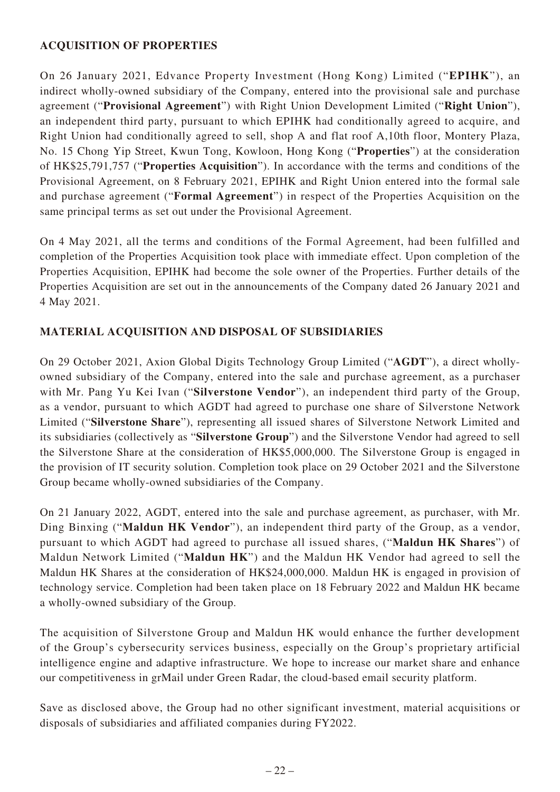## **ACQUISITION OF PROPERTIES**

On 26 January 2021, Edvance Property Investment (Hong Kong) Limited ("**EPIHK**"), an indirect wholly-owned subsidiary of the Company, entered into the provisional sale and purchase agreement ("**Provisional Agreement**") with Right Union Development Limited ("**Right Union**"), an independent third party, pursuant to which EPIHK had conditionally agreed to acquire, and Right Union had conditionally agreed to sell, shop A and flat roof A,10th floor, Montery Plaza, No. 15 Chong Yip Street, Kwun Tong, Kowloon, Hong Kong ("**Properties**") at the consideration of HK\$25,791,757 ("**Properties Acquisition**"). In accordance with the terms and conditions of the Provisional Agreement, on 8 February 2021, EPIHK and Right Union entered into the formal sale and purchase agreement ("**Formal Agreement**") in respect of the Properties Acquisition on the same principal terms as set out under the Provisional Agreement.

On 4 May 2021, all the terms and conditions of the Formal Agreement, had been fulfilled and completion of the Properties Acquisition took place with immediate effect. Upon completion of the Properties Acquisition, EPIHK had become the sole owner of the Properties. Further details of the Properties Acquisition are set out in the announcements of the Company dated 26 January 2021 and 4 May 2021.

## **MATERIAL ACQUISITION AND DISPOSAL OF SUBSIDIARIES**

On 29 October 2021, Axion Global Digits Technology Group Limited ("**AGDT**"), a direct whollyowned subsidiary of the Company, entered into the sale and purchase agreement, as a purchaser with Mr. Pang Yu Kei Ivan ("**Silverstone Vendor**"), an independent third party of the Group, as a vendor, pursuant to which AGDT had agreed to purchase one share of Silverstone Network Limited ("**Silverstone Share**"), representing all issued shares of Silverstone Network Limited and its subsidiaries (collectively as "**Silverstone Group**") and the Silverstone Vendor had agreed to sell the Silverstone Share at the consideration of HK\$5,000,000. The Silverstone Group is engaged in the provision of IT security solution. Completion took place on 29 October 2021 and the Silverstone Group became wholly-owned subsidiaries of the Company.

On 21 January 2022, AGDT, entered into the sale and purchase agreement, as purchaser, with Mr. Ding Binxing ("**Maldun HK Vendor**"), an independent third party of the Group, as a vendor, pursuant to which AGDT had agreed to purchase all issued shares, ("**Maldun HK Shares**") of Maldun Network Limited ("**Maldun HK**") and the Maldun HK Vendor had agreed to sell the Maldun HK Shares at the consideration of HK\$24,000,000. Maldun HK is engaged in provision of technology service. Completion had been taken place on 18 February 2022 and Maldun HK became a wholly-owned subsidiary of the Group.

The acquisition of Silverstone Group and Maldun HK would enhance the further development of the Group's cybersecurity services business, especially on the Group's proprietary artificial intelligence engine and adaptive infrastructure. We hope to increase our market share and enhance our competitiveness in grMail under Green Radar, the cloud-based email security platform.

Save as disclosed above, the Group had no other significant investment, material acquisitions or disposals of subsidiaries and affiliated companies during FY2022.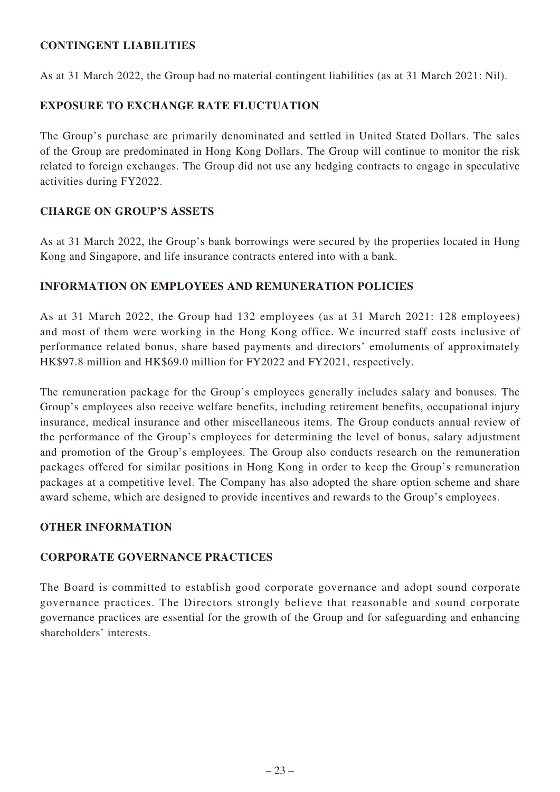#### **CONTINGENT LIABILITIES**

As at 31 March 2022, the Group had no material contingent liabilities (as at 31 March 2021: Nil).

## **EXPOSURE TO EXCHANGE RATE FLUCTUATION**

The Group's purchase are primarily denominated and settled in United Stated Dollars. The sales of the Group are predominated in Hong Kong Dollars. The Group will continue to monitor the risk related to foreign exchanges. The Group did not use any hedging contracts to engage in speculative activities during FY2022.

#### **CHARGE ON GROUP'S ASSETS**

As at 31 March 2022, the Group's bank borrowings were secured by the properties located in Hong Kong and Singapore, and life insurance contracts entered into with a bank.

## **INFORMATION ON EMPLOYEES AND REMUNERATION POLICIES**

As at 31 March 2022, the Group had 132 employees (as at 31 March 2021: 128 employees) and most of them were working in the Hong Kong office. We incurred staff costs inclusive of performance related bonus, share based payments and directors' emoluments of approximately HK\$97.8 million and HK\$69.0 million for FY2022 and FY2021, respectively.

The remuneration package for the Group's employees generally includes salary and bonuses. The Group's employees also receive welfare benefits, including retirement benefits, occupational injury insurance, medical insurance and other miscellaneous items. The Group conducts annual review of the performance of the Group's employees for determining the level of bonus, salary adjustment and promotion of the Group's employees. The Group also conducts research on the remuneration packages offered for similar positions in Hong Kong in order to keep the Group's remuneration packages at a competitive level. The Company has also adopted the share option scheme and share award scheme, which are designed to provide incentives and rewards to the Group's employees.

## **OTHER INFORMATION**

#### **CORPORATE GOVERNANCE PRACTICES**

The Board is committed to establish good corporate governance and adopt sound corporate governance practices. The Directors strongly believe that reasonable and sound corporate governance practices are essential for the growth of the Group and for safeguarding and enhancing shareholders' interests.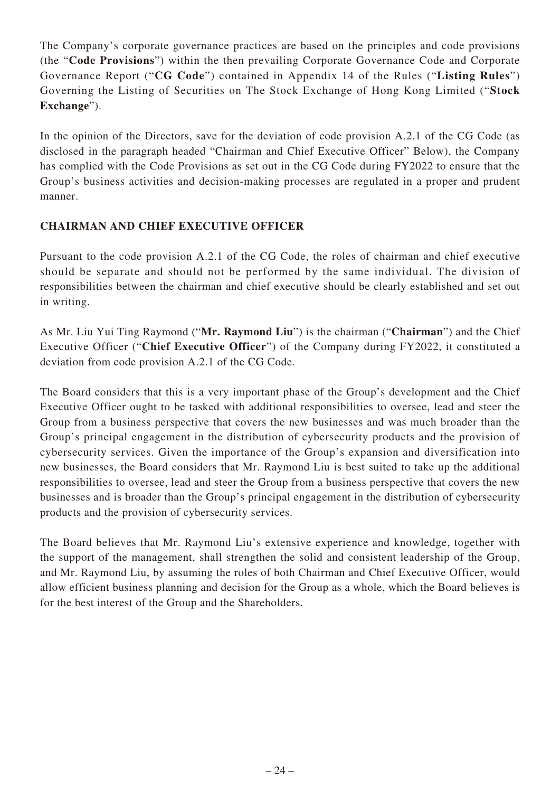The Company's corporate governance practices are based on the principles and code provisions (the "**Code Provisions**") within the then prevailing Corporate Governance Code and Corporate Governance Report ("**CG Code**") contained in Appendix 14 of the Rules ("**Listing Rules**") Governing the Listing of Securities on The Stock Exchange of Hong Kong Limited ("**Stock Exchange**").

In the opinion of the Directors, save for the deviation of code provision A.2.1 of the CG Code (as disclosed in the paragraph headed "Chairman and Chief Executive Officer" Below), the Company has complied with the Code Provisions as set out in the CG Code during FY2022 to ensure that the Group's business activities and decision-making processes are regulated in a proper and prudent manner.

## **CHAIRMAN AND CHIEF EXECUTIVE OFFICER**

Pursuant to the code provision A.2.1 of the CG Code, the roles of chairman and chief executive should be separate and should not be performed by the same individual. The division of responsibilities between the chairman and chief executive should be clearly established and set out in writing.

As Mr. Liu Yui Ting Raymond ("**Mr. Raymond Liu**") is the chairman ("**Chairman**") and the Chief Executive Officer ("**Chief Executive Officer**") of the Company during FY2022, it constituted a deviation from code provision A.2.1 of the CG Code.

The Board considers that this is a very important phase of the Group's development and the Chief Executive Officer ought to be tasked with additional responsibilities to oversee, lead and steer the Group from a business perspective that covers the new businesses and was much broader than the Group's principal engagement in the distribution of cybersecurity products and the provision of cybersecurity services. Given the importance of the Group's expansion and diversification into new businesses, the Board considers that Mr. Raymond Liu is best suited to take up the additional responsibilities to oversee, lead and steer the Group from a business perspective that covers the new businesses and is broader than the Group's principal engagement in the distribution of cybersecurity products and the provision of cybersecurity services.

The Board believes that Mr. Raymond Liu's extensive experience and knowledge, together with the support of the management, shall strengthen the solid and consistent leadership of the Group, and Mr. Raymond Liu, by assuming the roles of both Chairman and Chief Executive Officer, would allow efficient business planning and decision for the Group as a whole, which the Board believes is for the best interest of the Group and the Shareholders.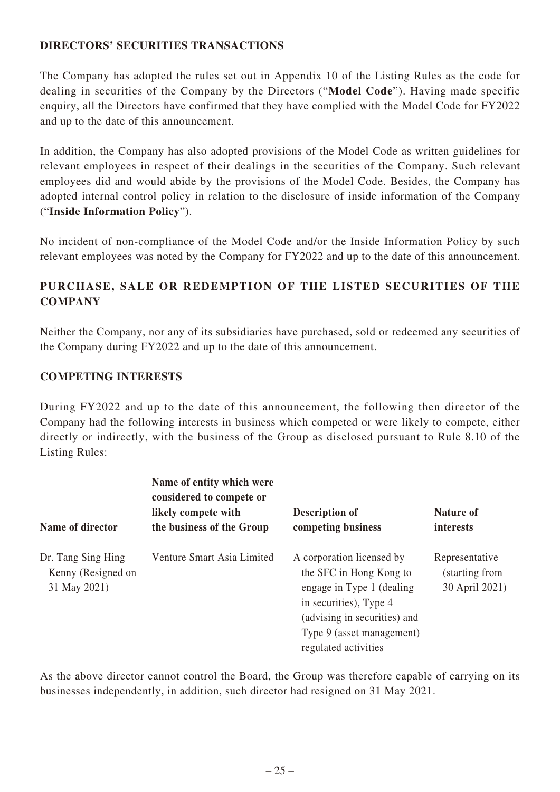## **DIRECTORS' SECURITIES TRANSACTIONS**

The Company has adopted the rules set out in Appendix 10 of the Listing Rules as the code for dealing in securities of the Company by the Directors ("**Model Code**"). Having made specific enquiry, all the Directors have confirmed that they have complied with the Model Code for FY2022 and up to the date of this announcement.

In addition, the Company has also adopted provisions of the Model Code as written guidelines for relevant employees in respect of their dealings in the securities of the Company. Such relevant employees did and would abide by the provisions of the Model Code. Besides, the Company has adopted internal control policy in relation to the disclosure of inside information of the Company ("**Inside Information Policy**").

No incident of non-compliance of the Model Code and/or the Inside Information Policy by such relevant employees was noted by the Company for FY2022 and up to the date of this announcement.

## **PURCHASE, SALE OR REDEMPTION OF THE LISTED SECURITIES OF THE COMPANY**

Neither the Company, nor any of its subsidiaries have purchased, sold or redeemed any securities of the Company during FY2022 and up to the date of this announcement.

#### **COMPETING INTERESTS**

During FY2022 and up to the date of this announcement, the following then director of the Company had the following interests in business which competed or were likely to compete, either directly or indirectly, with the business of the Group as disclosed pursuant to Rule 8.10 of the Listing Rules:

| Name of director                                                                       | Name of entity which were<br>considered to compete or<br>likely compete with<br>the business of the Group | <b>Description of</b><br>competing business                                                                                                                                                       | <b>Nature of</b><br>interests                      |
|----------------------------------------------------------------------------------------|-----------------------------------------------------------------------------------------------------------|---------------------------------------------------------------------------------------------------------------------------------------------------------------------------------------------------|----------------------------------------------------|
| Dr. Tang Sing Hing<br>Venture Smart Asia Limited<br>Kenny (Resigned on<br>31 May 2021) |                                                                                                           | A corporation licensed by<br>the SFC in Hong Kong to<br>engage in Type 1 (dealing)<br>in securities), Type 4<br>(advising in securities) and<br>Type 9 (asset management)<br>regulated activities | Representative<br>(starting from<br>30 April 2021) |

As the above director cannot control the Board, the Group was therefore capable of carrying on its businesses independently, in addition, such director had resigned on 31 May 2021.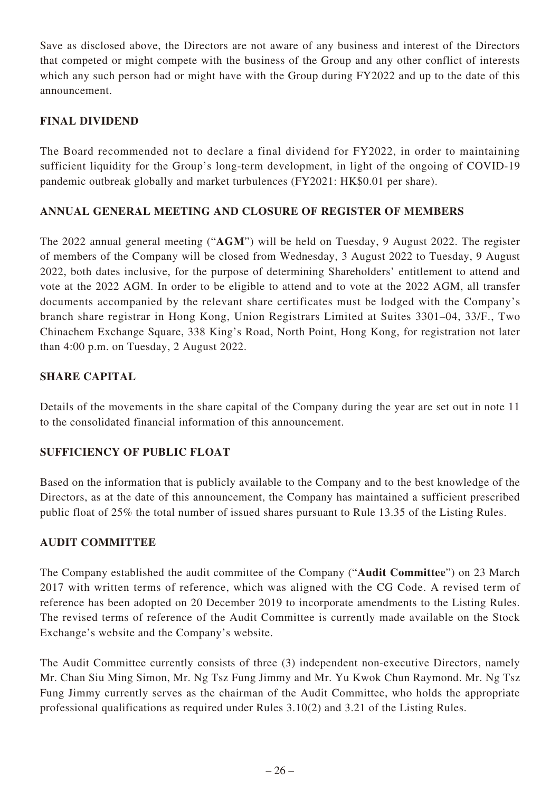Save as disclosed above, the Directors are not aware of any business and interest of the Directors that competed or might compete with the business of the Group and any other conflict of interests which any such person had or might have with the Group during FY2022 and up to the date of this announcement.

## **FINAL DIVIDEND**

The Board recommended not to declare a final dividend for FY2022, in order to maintaining sufficient liquidity for the Group's long-term development, in light of the ongoing of COVID-19 pandemic outbreak globally and market turbulences (FY2021: HK\$0.01 per share).

## **ANNUAL GENERAL MEETING AND CLOSURE OF REGISTER OF MEMBERS**

The 2022 annual general meeting ("**AGM**") will be held on Tuesday, 9 August 2022. The register of members of the Company will be closed from Wednesday, 3 August 2022 to Tuesday, 9 August 2022, both dates inclusive, for the purpose of determining Shareholders' entitlement to attend and vote at the 2022 AGM. In order to be eligible to attend and to vote at the 2022 AGM, all transfer documents accompanied by the relevant share certificates must be lodged with the Company's branch share registrar in Hong Kong, Union Registrars Limited at Suites 3301–04, 33/F., Two Chinachem Exchange Square, 338 King's Road, North Point, Hong Kong, for registration not later than 4:00 p.m. on Tuesday, 2 August 2022.

## **SHARE CAPITAL**

Details of the movements in the share capital of the Company during the year are set out in note 11 to the consolidated financial information of this announcement.

## **SUFFICIENCY OF PUBLIC FLOAT**

Based on the information that is publicly available to the Company and to the best knowledge of the Directors, as at the date of this announcement, the Company has maintained a sufficient prescribed public float of 25% the total number of issued shares pursuant to Rule 13.35 of the Listing Rules.

## **AUDIT COMMITTEE**

The Company established the audit committee of the Company ("**Audit Committee**") on 23 March 2017 with written terms of reference, which was aligned with the CG Code. A revised term of reference has been adopted on 20 December 2019 to incorporate amendments to the Listing Rules. The revised terms of reference of the Audit Committee is currently made available on the Stock Exchange's website and the Company's website.

The Audit Committee currently consists of three (3) independent non-executive Directors, namely Mr. Chan Siu Ming Simon, Mr. Ng Tsz Fung Jimmy and Mr. Yu Kwok Chun Raymond. Mr. Ng Tsz Fung Jimmy currently serves as the chairman of the Audit Committee, who holds the appropriate professional qualifications as required under Rules 3.10(2) and 3.21 of the Listing Rules.